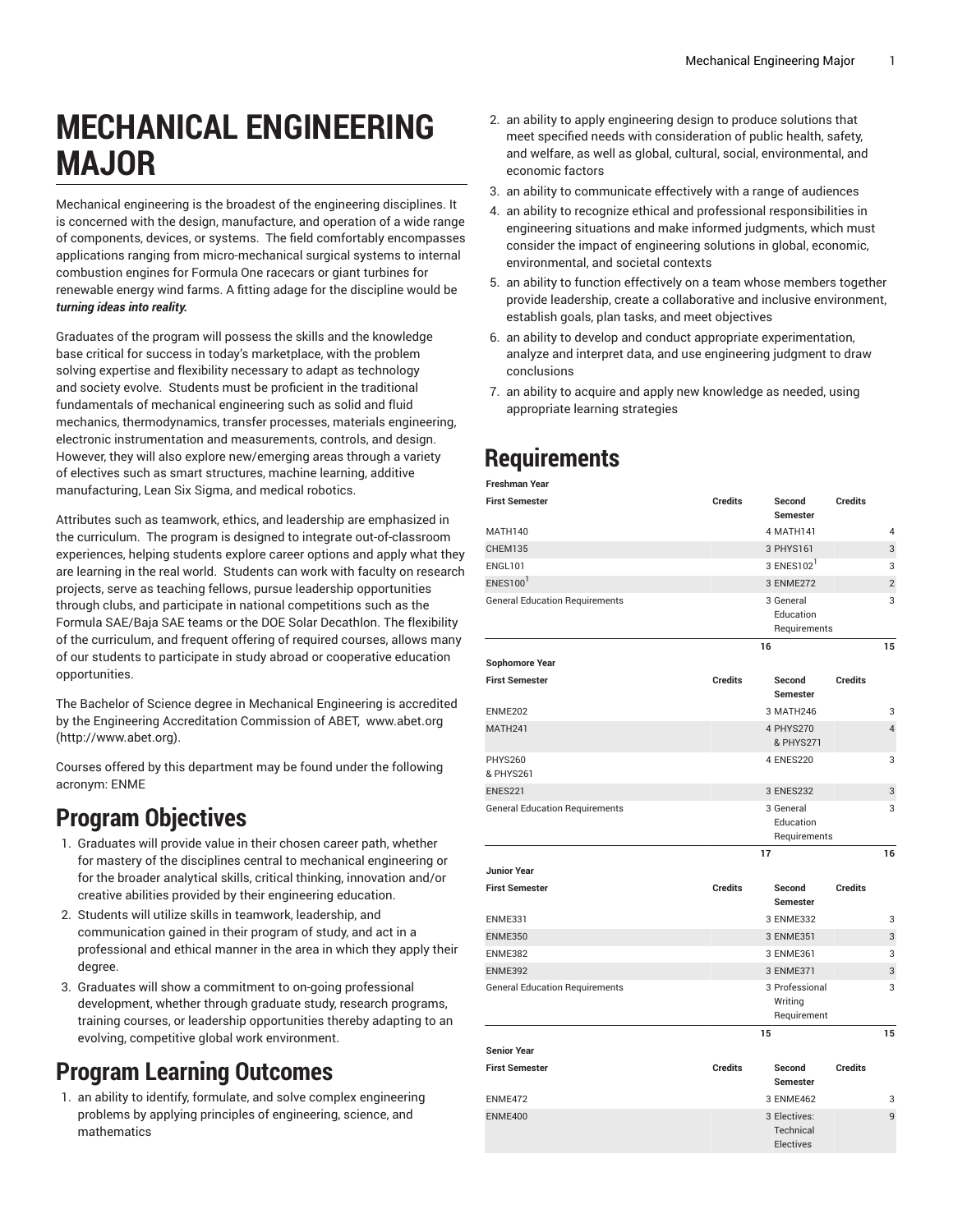# **MECHANICAL ENGINEERING MAJOR**

Mechanical engineering is the broadest of the engineering disciplines. It is concerned with the design, manufacture, and operation of a wide range of components, devices, or systems. The field comfortably encompasses applications ranging from micro-mechanical surgical systems to internal combustion engines for Formula One racecars or giant turbines for renewable energy wind farms. A fitting adage for the discipline would be *turning ideas into reality.*

Graduates of the program will possess the skills and the knowledge base critical for success in today's marketplace, with the problem solving expertise and flexibility necessary to adapt as technology and society evolve. Students must be proficient in the traditional fundamentals of mechanical engineering such as solid and fluid mechanics, thermodynamics, transfer processes, materials engineering, electronic instrumentation and measurements, controls, and design. However, they will also explore new/emerging areas through a variety of electives such as smart structures, machine learning, additive manufacturing, Lean Six Sigma, and medical robotics.

Attributes such as teamwork, ethics, and leadership are emphasized in the curriculum. The program is designed to integrate out-of-classroom experiences, helping students explore career options and apply what they are learning in the real world. Students can work with faculty on research projects, serve as teaching fellows, pursue leadership opportunities through clubs, and participate in national competitions such as the Formula SAE/Baja SAE teams or the DOE Solar Decathlon. The flexibility of the curriculum, and frequent offering of required courses, allows many of our students to participate in study abroad or cooperative education opportunities.

The Bachelor of Science degree in Mechanical Engineering is accredited by the Engineering Accreditation Commission of ABET, [www.abet.org](http://www.abet.org) ([http://www.abet.org\)](http://www.abet.org).

Courses offered by this department may be found under the following acronym: ENME

### **Program Objectives**

- 1. Graduates will provide value in their chosen career path, whether for mastery of the disciplines central to mechanical engineering or for the broader analytical skills, critical thinking, innovation and/or creative abilities provided by their engineering education.
- 2. Students will utilize skills in teamwork, leadership, and communication gained in their program of study, and act in a professional and ethical manner in the area in which they apply their degree.
- 3. Graduates will show a commitment to on-going professional development, whether through graduate study, research programs, training courses, or leadership opportunities thereby adapting to an evolving, competitive global work environment.

## **Program Learning Outcomes**

1. an ability to identify, formulate, and solve complex engineering problems by applying principles of engineering, science, and mathematics

- 2. an ability to apply engineering design to produce solutions that meet specified needs with consideration of public health, safety, and welfare, as well as global, cultural, social, environmental, and economic factors
- 3. an ability to communicate effectively with a range of audiences
- 4. an ability to recognize ethical and professional responsibilities in engineering situations and make informed judgments, which must consider the impact of engineering solutions in global, economic, environmental, and societal contexts
- 5. an ability to function effectively on a team whose members together provide leadership, create a collaborative and inclusive environment, establish goals, plan tasks, and meet objectives
- 6. an ability to develop and conduct appropriate experimentation, analyze and interpret data, and use engineering judgment to draw conclusions
- 7. an ability to acquire and apply new knowledge as needed, using appropriate learning strategies

# **Requirements**

| Freshman Year                         |                |                                          |                |                |
|---------------------------------------|----------------|------------------------------------------|----------------|----------------|
| <b>First Semester</b>                 | <b>Credits</b> | Second<br>Semester                       | <b>Credits</b> |                |
| MATH140                               |                | 4 MATH141                                |                | 4              |
| CHEM135                               |                | 3 PHYS161                                |                | 3              |
| <b>ENGL101</b>                        |                | 3 ENES102                                |                | 3              |
| $ENES100^1$                           |                | 3 ENME272                                |                | $\overline{2}$ |
| <b>General Education Requirements</b> |                | 3 General                                |                | 3              |
|                                       |                | Education                                |                |                |
|                                       |                | Requirements                             |                |                |
|                                       |                | 16                                       |                | 15             |
| <b>Sophomore Year</b>                 |                |                                          |                |                |
| <b>First Semester</b>                 | <b>Credits</b> | Second<br><b>Semester</b>                | <b>Credits</b> |                |
| ENME202                               |                | 3 MATH246                                |                | 3              |
| <b>MATH241</b>                        |                | 4 PHYS270<br>& PHYS271                   |                | $\overline{4}$ |
| <b>PHYS260</b><br>& PHYS261           |                | 4 ENES220                                |                | 3              |
| <b>ENES221</b>                        |                | 3 ENES232                                |                | 3              |
| <b>General Education Requirements</b> |                | 3 General<br>Education<br>Requirements   |                | 3              |
| <b>Junior Year</b>                    |                | 17                                       |                | 16             |
|                                       | <b>Credits</b> |                                          | <b>Credits</b> |                |
| <b>First Semester</b>                 |                | Second<br><b>Semester</b>                |                |                |
| ENME331                               |                | 3 ENME332                                |                | 3              |
| <b>ENME350</b>                        |                | 3 ENME351                                |                | 3              |
| <b>ENME382</b>                        |                | 3 ENME361                                |                | 3              |
| <b>ENME392</b>                        |                | 3 ENME371                                |                | 3              |
| <b>General Education Requirements</b> |                | 3 Professional<br>Writing<br>Requirement |                | 3              |
|                                       |                | 15                                       |                | 15             |
| Senior Year                           |                |                                          |                |                |
| <b>First Semester</b>                 | <b>Credits</b> | Second<br><b>Semester</b>                | <b>Credits</b> |                |
| ENME472                               |                | 3 ENME462                                |                | 3              |
| <b>ENME400</b>                        |                | 3 Electives:<br>Technical<br>Electives   |                | 9              |
|                                       |                |                                          |                |                |